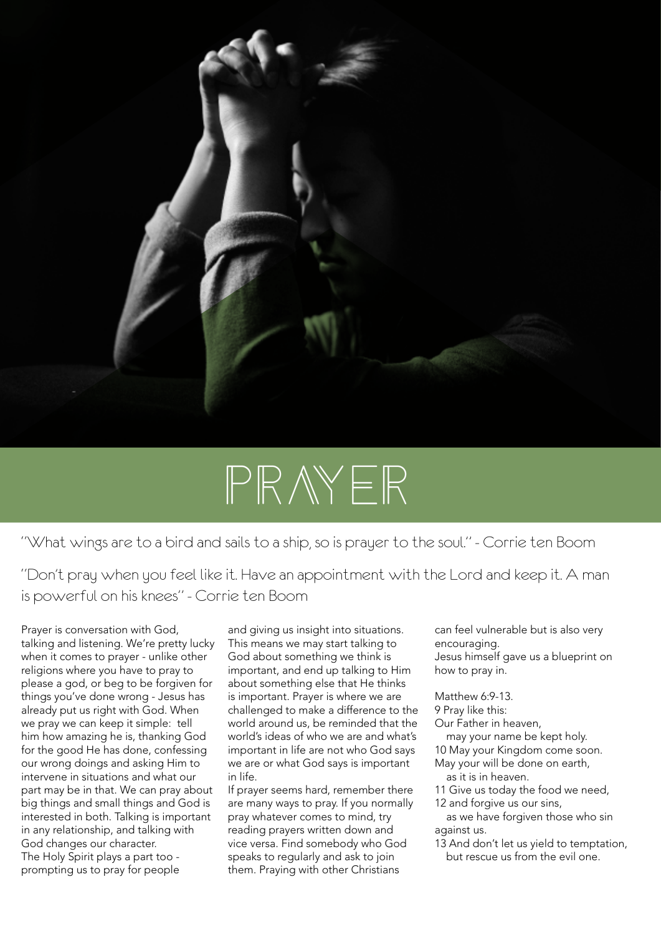

# PRAYER

"What wings are to a bird and sails to a ship, so is prayer to the soul." - Corrie ten Boom

"Don't pray when you feel like it. Have an appointment with the Lord and keep it. A man is powerful on his knees" - Corrie ten Boom

Prayer is conversation with God, talking and listening. We're pretty lucky when it comes to prayer - unlike other religions where you have to pray to please a god, or beg to be forgiven for things you've done wrong - Jesus has already put us right with God. When we pray we can keep it simple: tell him how amazing he is, thanking God for the good He has done, confessing our wrong doings and asking Him to intervene in situations and what our part may be in that. We can pray about big things and small things and God is interested in both. Talking is important in any relationship, and talking with God changes our character. The Holy Spirit plays a part too prompting us to pray for people

and giving us insight into situations. This means we may start talking to God about something we think is important, and end up talking to Him about something else that He thinks is important. Prayer is where we are challenged to make a difference to the world around us, be reminded that the world's ideas of who we are and what's important in life are not who God says we are or what God says is important in life.

If prayer seems hard, remember there are many ways to pray. If you normally pray whatever comes to mind, try reading prayers written down and vice versa. Find somebody who God speaks to regularly and ask to join them. Praying with other Christians

can feel vulnerable but is also very encouraging. Jesus himself gave us a blueprint on how to pray in.

Matthew 6:9-13.

9 Pray like this:

Our Father in heaven,

may your name be kept holy.

10 May your Kingdom come soon.

- May your will be done on earth, as it is in heaven.
- 11 Give us today the food we need,
- 12 and forgive us our sins, as we have forgiven those who sin
- against us. 13 And don't let us yield to temptation,
- but rescue us from the evil one.